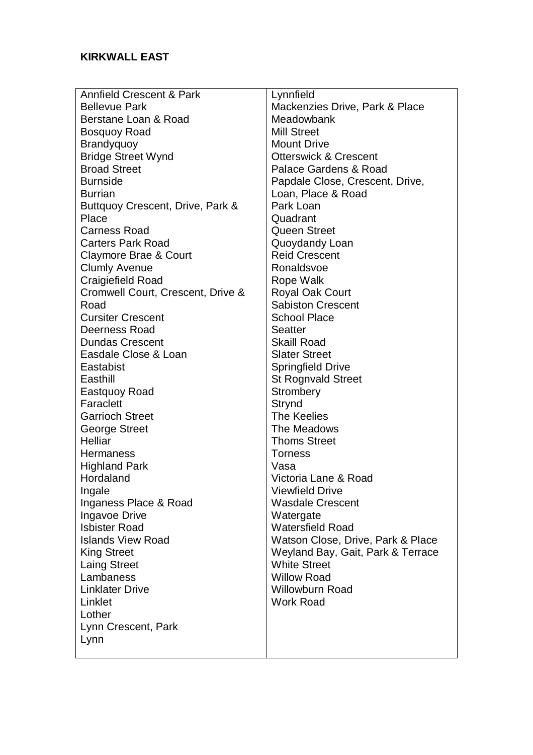| <b>Annfield Crescent &amp; Park</b> | Lynnfield                         |
|-------------------------------------|-----------------------------------|
| <b>Bellevue Park</b>                | Mackenzies Drive, Park & Place    |
| Berstane Loan & Road                | Meadowbank                        |
| <b>Bosquoy Road</b>                 | <b>Mill Street</b>                |
| Brandyquoy                          | <b>Mount Drive</b>                |
| <b>Bridge Street Wynd</b>           | <b>Otterswick &amp; Crescent</b>  |
| <b>Broad Street</b>                 | Palace Gardens & Road             |
| <b>Burnside</b>                     | Papdale Close, Crescent, Drive,   |
| <b>Burrian</b>                      | Loan, Place & Road                |
| Buttquoy Crescent, Drive, Park &    | Park Loan                         |
| Place                               | Quadrant                          |
| <b>Carness Road</b>                 | <b>Queen Street</b>               |
| <b>Carters Park Road</b>            | Quoydandy Loan                    |
| Claymore Brae & Court               | <b>Reid Crescent</b>              |
| <b>Clumly Avenue</b>                | Ronaldsvoe                        |
| Craigiefield Road                   | Rope Walk                         |
| Cromwell Court, Crescent, Drive &   | <b>Royal Oak Court</b>            |
| Road                                | <b>Sabiston Crescent</b>          |
| <b>Cursiter Crescent</b>            | <b>School Place</b>               |
| <b>Deerness Road</b>                | <b>Seatter</b>                    |
| <b>Dundas Crescent</b>              | <b>Skaill Road</b>                |
| Easdale Close & Loan                | <b>Slater Street</b>              |
| Eastabist                           | <b>Springfield Drive</b>          |
| Easthill                            | <b>St Rognvald Street</b>         |
| Eastquoy Road                       | Strombery                         |
| Faraclett                           | Strynd                            |
| <b>Garrioch Street</b>              | <b>The Keelies</b>                |
| <b>George Street</b>                | The Meadows                       |
| Helliar                             | <b>Thoms Street</b>               |
| Hermaness                           | <b>Torness</b>                    |
| <b>Highland Park</b>                | Vasa                              |
| Hordaland                           | Victoria Lane & Road              |
| Ingale                              | <b>Viewfield Drive</b>            |
| Inganess Place & Road               | <b>Wasdale Crescent</b>           |
| Ingavoe Drive                       | Watergate                         |
| <b>Isbister Road</b>                | <b>Watersfield Road</b>           |
| <b>Islands View Road</b>            | Watson Close, Drive, Park & Place |
| <b>King Street</b>                  | Weyland Bay, Gait, Park & Terrace |
| <b>Laing Street</b>                 | <b>White Street</b>               |
| Lambaness                           | <b>Willow Road</b>                |
| <b>Linklater Drive</b>              | <b>Willowburn Road</b>            |
| Linklet                             | <b>Work Road</b>                  |
| Lother                              |                                   |
| Lynn Crescent, Park                 |                                   |
| Lynn                                |                                   |
|                                     |                                   |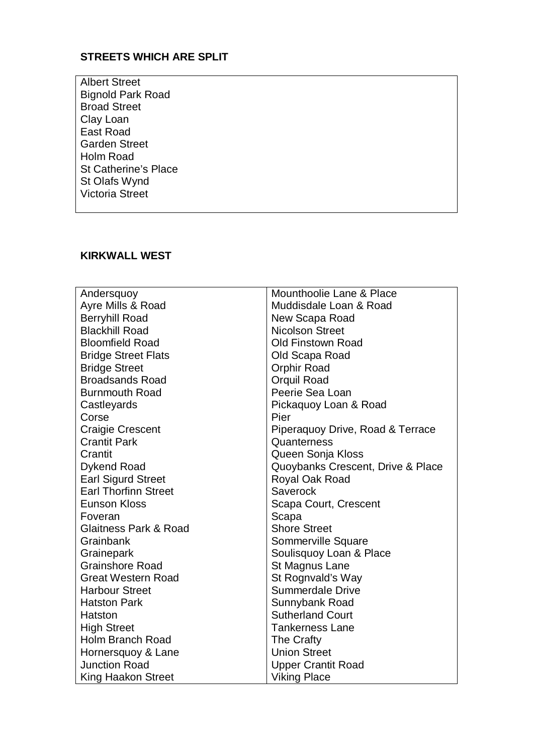## **STREETS WHICH ARE SPLIT**

 Bignold Park Road Clay Loan  $East Road$  Holm Road St Catherine's Place St Olafs Wynd Albert Street Broad Street Garden Street Victoria Street

## **KIRKWALL WEST**

| Andersquoy                  | Mounthoolie Lane & Place          |
|-----------------------------|-----------------------------------|
| Ayre Mills & Road           | Muddisdale Loan & Road            |
| <b>Berryhill Road</b>       | New Scapa Road                    |
| <b>Blackhill Road</b>       | <b>Nicolson Street</b>            |
| <b>Bloomfield Road</b>      | <b>Old Finstown Road</b>          |
| <b>Bridge Street Flats</b>  | Old Scapa Road                    |
| <b>Bridge Street</b>        | Orphir Road                       |
| <b>Broadsands Road</b>      | Orquil Road                       |
| <b>Burnmouth Road</b>       | Peerie Sea Loan                   |
| Castleyards                 | Pickaquoy Loan & Road             |
| Corse                       | Pier                              |
| <b>Craigie Crescent</b>     | Piperaquoy Drive, Road & Terrace  |
| <b>Crantit Park</b>         | Quanterness                       |
| Crantit                     | Queen Sonja Kloss                 |
| <b>Dykend Road</b>          | Quoybanks Crescent, Drive & Place |
| <b>Earl Sigurd Street</b>   | Royal Oak Road                    |
| <b>Earl Thorfinn Street</b> | Saverock                          |
| <b>Eunson Kloss</b>         | Scapa Court, Crescent             |
| Foveran                     | Scapa                             |
| Glaitness Park & Road       | <b>Shore Street</b>               |
| Grainbank                   | Sommerville Square                |
| Grainepark                  | Soulisquoy Loan & Place           |
| <b>Grainshore Road</b>      | St Magnus Lane                    |
| <b>Great Western Road</b>   | St Rognvald's Way                 |
| <b>Harbour Street</b>       | <b>Summerdale Drive</b>           |
| <b>Hatston Park</b>         | Sunnybank Road                    |
| Hatston                     | <b>Sutherland Court</b>           |
| <b>High Street</b>          | <b>Tankerness Lane</b>            |
| <b>Holm Branch Road</b>     | The Crafty                        |
| Hornersquoy & Lane          | <b>Union Street</b>               |
| <b>Junction Road</b>        | <b>Upper Crantit Road</b>         |
| <b>King Haakon Street</b>   | <b>Viking Place</b>               |